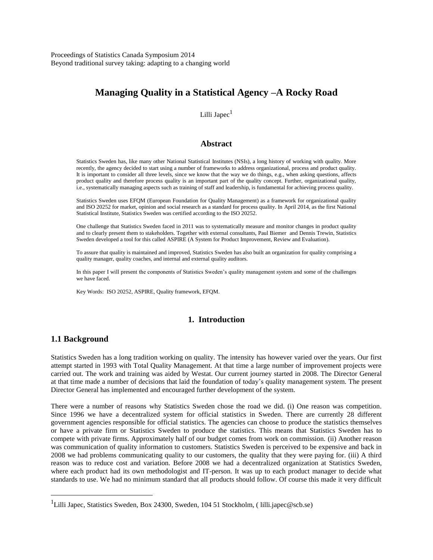Proceedings of Statistics Canada Symposium 2014 Beyond traditional survey taking: adapting to a changing world

# **Managing Quality in a Statistical Agency –A Rocky Road**

Lilli Japec $<sup>1</sup>$ </sup>

#### **Abstract**

Statistics Sweden has, like many other National Statistical Institutes (NSIs), a long history of working with quality. More recently, the agency decided to start using a number of frameworks to address organizational, process and product quality. It is important to consider all three levels, since we know that the way we do things, e.g., when asking questions, affects product quality and therefore process quality is an important part of the quality concept. Further, organizational quality, i.e., systematically managing aspects such as training of staff and leadership, is fundamental for achieving process quality.

Statistics Sweden uses EFQM (European Foundation for Quality Management) as a framework for organizational quality and ISO 20252 for market, opinion and social research as a standard for process quality. In April 2014, as the first National Statistical Institute, Statistics Sweden was certified according to the ISO 20252.

One challenge that Statistics Sweden faced in 2011 was to systematically measure and monitor changes in product quality and to clearly present them to stakeholders. Together with external consultants, Paul Biemer and Dennis Trewin, Statistics Sweden developed a tool for this called ASPIRE (A System for Product Improvement, Review and Evaluation).

To assure that quality is maintained and improved, Statistics Sweden has also built an organization for quality comprising a quality manager, quality coaches, and internal and external quality auditors.

In this paper I will present the components of Statistics Sweden's quality management system and some of the challenges we have faced.

Key Words: ISO 20252, ASPIRE, Quality framework, EFQM.

#### **1. Introduction**

#### **1.1 Background**

 $\overline{a}$ 

Statistics Sweden has a long tradition working on quality. The intensity has however varied over the years. Our first attempt started in 1993 with Total Quality Management. At that time a large number of improvement projects were carried out. The work and training was aided by Westat. Our current journey started in 2008. The Director General at that time made a number of decisions that laid the foundation of today's quality management system. The present Director General has implemented and encouraged further development of the system.

There were a number of reasons why Statistics Sweden chose the road we did. (i) One reason was competition. Since 1996 we have a decentralized system for official statistics in Sweden. There are currently 28 different government agencies responsible for official statistics. The agencies can choose to produce the statistics themselves or have a private firm or Statistics Sweden to produce the statistics. This means that Statistics Sweden has to compete with private firms. Approximately half of our budget comes from work on commission. (ii) Another reason was communication of quality information to customers. Statistics Sweden is perceived to be expensive and back in 2008 we had problems communicating quality to our customers, the quality that they were paying for. (iii) A third reason was to reduce cost and variation. Before 2008 we had a decentralized organization at Statistics Sweden, where each product had its own methodologist and IT-person. It was up to each product manager to decide what standards to use. We had no minimum standard that all products should follow. Of course this made it very difficult

<sup>&</sup>lt;sup>1</sup>Lilli Japec, Statistics Sweden, Box 24300, Sweden, 104 51 Stockholm, ( lilli.japec@scb.se)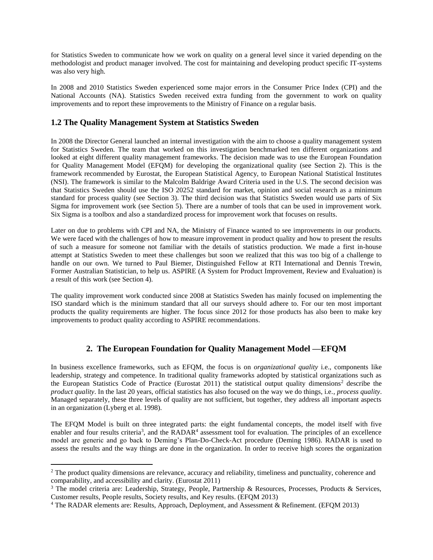for Statistics Sweden to communicate how we work on quality on a general level since it varied depending on the methodologist and product manager involved. The cost for maintaining and developing product specific IT-systems was also very high.

In 2008 and 2010 Statistics Sweden experienced some major errors in the Consumer Price Index (CPI) and the National Accounts (NA). Statistics Sweden received extra funding from the government to work on quality improvements and to report these improvements to the Ministry of Finance on a regular basis.

## **1.2 The Quality Management System at Statistics Sweden**

In 2008 the Director General launched an internal investigation with the aim to choose a quality management system for Statistics Sweden. The team that worked on this investigation benchmarked ten different organizations and looked at eight different quality management frameworks. The decision made was to use the European Foundation for Quality Management Model (EFQM) for developing the organizational quality (see Section 2). This is the framework recommended by Eurostat, the European Statistical Agency, to European National Statistical Institutes (NSI). The framework is similar to the Malcolm Baldrige Award Criteria used in the U.S. The second decision was that Statistics Sweden should use the ISO 20252 standard for market, opinion and social research as a minimum standard for process quality (see Section 3). The third decision was that Statistics Sweden would use parts of Six Sigma for improvement work (see Section 5). There are a number of tools that can be used in improvement work. Six Sigma is a toolbox and also a standardized process for improvement work that focuses on results.

Later on due to problems with CPI and NA, the Ministry of Finance wanted to see improvements in our products. We were faced with the challenges of how to measure improvement in product quality and how to present the results of such a measure for someone not familiar with the details of statistics production. We made a first in-house attempt at Statistics Sweden to meet these challenges but soon we realized that this was too big of a challenge to handle on our own. We turned to Paul Biemer, Distinguished Fellow at RTI International and Dennis Trewin, Former Australian Statistician, to help us. ASPIRE (A System for Product Improvement, Review and Evaluation) is a result of this work (see Section 4).

The quality improvement work conducted since 2008 at Statistics Sweden has mainly focused on implementing the ISO standard which is the minimum standard that all our surveys should adhere to. For our ten most important products the quality requirements are higher. The focus since 2012 for those products has also been to make key improvements to product quality according to ASPIRE recommendations.

# **2. The European Foundation for Quality Management Model —EFQM**

In business excellence frameworks, such as EFQM, the focus is on *organizational quality* i.e., components like leadership, strategy and competence. In traditional quality frameworks adopted by statistical organizations such as the European Statistics Code of Practice (Eurostat 2011) the statistical output quality dimensions<sup>2</sup> describe the *product quality*. In the last 20 years, official statistics has also focused on the way we do things, i.e., *process quality*. Managed separately, these three levels of quality are not sufficient, but together, they address all important aspects in an organization (Lyberg et al. 1998).

The EFQM Model is built on three integrated parts: the eight fundamental concepts, the model itself with five enabler and four results criteria<sup>3</sup>, and the RADAR<sup>4</sup> assessment tool for evaluation. The principles of an excellence model are generic and go back to Deming's Plan-Do-Check-Act procedure (Deming 1986). RADAR is used to assess the results and the way things are done in the organization. In order to receive high scores the organization

 $\overline{a}$ 

<sup>&</sup>lt;sup>2</sup> The product quality dimensions are relevance, accuracy and reliability, timeliness and punctuality, coherence and comparability, and accessibility and clarity. (Eurostat 2011)

<sup>&</sup>lt;sup>3</sup> The model criteria are: Leadership, Strategy, People, Partnership & Resources, Processes, Products & Services, Customer results, People results, Society results, and Key results. (EFQM 2013)

<sup>4</sup> The RADAR elements are: Results, Approach, Deployment, and Assessment & Refinement. (EFQM 2013)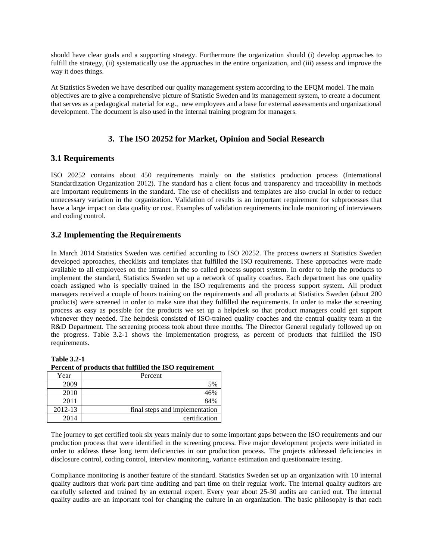should have clear goals and a supporting strategy. Furthermore the organization should (i) develop approaches to fulfill the strategy, (ii) systematically use the approaches in the entire organization, and (iii) assess and improve the way it does things.

At Statistics Sweden we have described our quality management system according to the EFQM model. The main objectives are to give a comprehensive picture of Statistic Sweden and its management system, to create a document that serves as a pedagogical material for e.g., new employees and a base for external assessments and organizational development. The document is also used in the internal training program for managers.

## **3. The ISO 20252 for Market, Opinion and Social Research**

### **3.1 Requirements**

ISO 20252 contains about 450 requirements mainly on the statistics production process (International Standardization Organization 2012). The standard has a client focus and transparency and traceability in methods are important requirements in the standard. The use of checklists and templates are also crucial in order to reduce unnecessary variation in the organization. Validation of results is an important requirement for subprocesses that have a large impact on data quality or cost. Examples of validation requirements include monitoring of interviewers and coding control.

### **3.2 Implementing the Requirements**

In March 2014 Statistics Sweden was certified according to ISO 20252. The process owners at Statistics Sweden developed approaches, checklists and templates that fulfilled the ISO requirements. These approaches were made available to all employees on the intranet in the so called process support system. In order to help the products to implement the standard, Statistics Sweden set up a network of quality coaches. Each department has one quality coach assigned who is specially trained in the ISO requirements and the process support system. All product managers received a couple of hours training on the requirements and all products at Statistics Sweden (about 200 products) were screened in order to make sure that they fulfilled the requirements. In order to make the screening process as easy as possible for the products we set up a helpdesk so that product managers could get support whenever they needed. The helpdesk consisted of ISO-trained quality coaches and the central quality team at the R&D Department. The screening process took about three months. The Director General regularly followed up on the progress. Table 3.2-1 shows the implementation progress, as percent of products that fulfilled the ISO requirements.

#### **Table 3.2-1**

**Percent of products that fulfilled the ISO requirement**

| Year    | Percent                        |
|---------|--------------------------------|
| 2009    | 5%                             |
| 2010    | 46%                            |
| 2011    | 84%                            |
| 2012-13 | final steps and implementation |
| 2014    | certification                  |

The journey to get certified took six years mainly due to some important gaps between the ISO requirements and our production process that were identified in the screening process. Five major development projects were initiated in order to address these long term deficiencies in our production process. The projects addressed deficiencies in disclosure control, coding control, interview monitoring, variance estimation and questionnaire testing.

Compliance monitoring is another feature of the standard. Statistics Sweden set up an organization with 10 internal quality auditors that work part time auditing and part time on their regular work. The internal quality auditors are carefully selected and trained by an external expert. Every year about 25-30 audits are carried out. The internal quality audits are an important tool for changing the culture in an organization. The basic philosophy is that each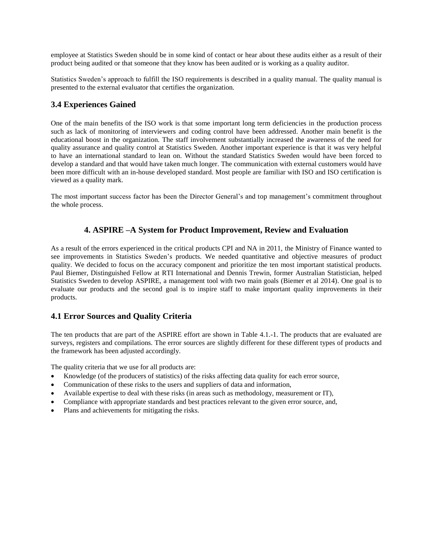employee at Statistics Sweden should be in some kind of contact or hear about these audits either as a result of their product being audited or that someone that they know has been audited or is working as a quality auditor.

Statistics Sweden's approach to fulfill the ISO requirements is described in a quality manual. The quality manual is presented to the external evaluator that certifies the organization.

## **3.4 Experiences Gained**

One of the main benefits of the ISO work is that some important long term deficiencies in the production process such as lack of monitoring of interviewers and coding control have been addressed. Another main benefit is the educational boost in the organization. The staff involvement substantially increased the awareness of the need for quality assurance and quality control at Statistics Sweden. Another important experience is that it was very helpful to have an international standard to lean on. Without the standard Statistics Sweden would have been forced to develop a standard and that would have taken much longer. The communication with external customers would have been more difficult with an in-house developed standard. Most people are familiar with ISO and ISO certification is viewed as a quality mark.

The most important success factor has been the Director General's and top management's commitment throughout the whole process.

### **4. ASPIRE –A System for Product Improvement, Review and Evaluation**

As a result of the errors experienced in the critical products CPI and NA in 2011, the Ministry of Finance wanted to see improvements in Statistics Sweden's products. We needed quantitative and objective measures of product quality. We decided to focus on the accuracy component and prioritize the ten most important statistical products. Paul Biemer, Distinguished Fellow at RTI International and Dennis Trewin, former Australian Statistician, helped Statistics Sweden to develop ASPIRE, a management tool with two main goals (Biemer et al 2014). One goal is to evaluate our products and the second goal is to inspire staff to make important quality improvements in their products.

#### **4.1 Error Sources and Quality Criteria**

The ten products that are part of the ASPIRE effort are shown in Table 4.1.-1. The products that are evaluated are surveys, registers and compilations. The error sources are slightly different for these different types of products and the framework has been adjusted accordingly.

The quality criteria that we use for all products are:

- Knowledge (of the producers of statistics) of the risks affecting data quality for each error source,
- Communication of these risks to the users and suppliers of data and information,
- Available expertise to deal with these risks (in areas such as methodology, measurement or IT),
- Compliance with appropriate standards and best practices relevant to the given error source, and,
- Plans and achievements for mitigating the risks.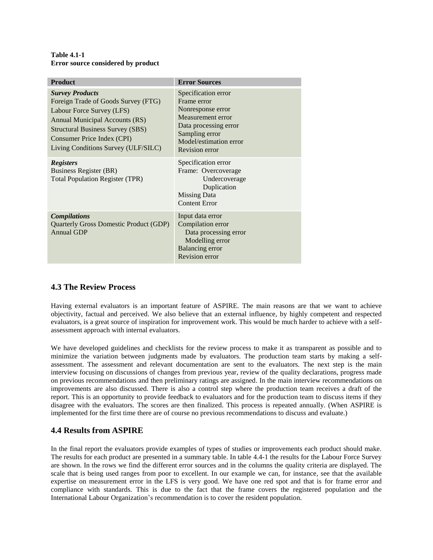#### **Table 4.1-1 Error source considered by product**

| <b>Product</b>                                                                                                                                                                                                                               | <b>Error Sources</b>                                                                                                                                                |  |  |  |  |
|----------------------------------------------------------------------------------------------------------------------------------------------------------------------------------------------------------------------------------------------|---------------------------------------------------------------------------------------------------------------------------------------------------------------------|--|--|--|--|
| <b>Survey Products</b><br>Foreign Trade of Goods Survey (FTG)<br>Labour Force Survey (LFS)<br>Annual Municipal Accounts (RS)<br><b>Structural Business Survey (SBS)</b><br>Consumer Price Index (CPI)<br>Living Conditions Survey (ULF/SILC) | Specification error<br>Frame error<br>Nonresponse error<br>Measurement error<br>Data processing error<br>Sampling error<br>Model/estimation error<br>Revision error |  |  |  |  |
| <b>Registers</b><br>Business Register (BR)<br><b>Total Population Register (TPR)</b>                                                                                                                                                         | Specification error<br>Frame: Overcoverage<br>Undercoverage<br>Duplication<br>Missing Data<br><b>Content Error</b>                                                  |  |  |  |  |
| <b>Compilations</b><br>Quarterly Gross Domestic Product (GDP)<br><b>Annual GDP</b>                                                                                                                                                           | Input data error<br>Compilation error<br>Data processing error<br>Modelling error<br><b>Balancing</b> error<br><b>Revision error</b>                                |  |  |  |  |

# **4.3 The Review Process**

Having external evaluators is an important feature of ASPIRE. The main reasons are that we want to achieve objectivity, factual and perceived. We also believe that an external influence, by highly competent and respected evaluators, is a great source of inspiration for improvement work. This would be much harder to achieve with a selfassessment approach with internal evaluators.

We have developed guidelines and checklists for the review process to make it as transparent as possible and to minimize the variation between judgments made by evaluators. The production team starts by making a selfassessment. The assessment and relevant documentation are sent to the evaluators. The next step is the main interview focusing on discussions of changes from previous year, review of the quality declarations, progress made on previous recommendations and then preliminary ratings are assigned. In the main interview recommendations on improvements are also discussed. There is also a control step where the production team receives a draft of the report. This is an opportunity to provide feedback to evaluators and for the production team to discuss items if they disagree with the evaluators. The scores are then finalized. This process is repeated annually. (When ASPIRE is implemented for the first time there are of course no previous recommendations to discuss and evaluate.)

# **4.4 Results from ASPIRE**

In the final report the evaluators provide examples of types of studies or improvements each product should make. The results for each product are presented in a summary table. In table 4.4-1 the results for the Labour Force Survey are shown. In the rows we find the different error sources and in the columns the quality criteria are displayed. The scale that is being used ranges from poor to excellent. In our example we can, for instance, see that the available expertise on measurement error in the LFS is very good. We have one red spot and that is for frame error and compliance with standards. This is due to the fact that the frame covers the registered population and the International Labour Organization's recommendation is to cover the resident population.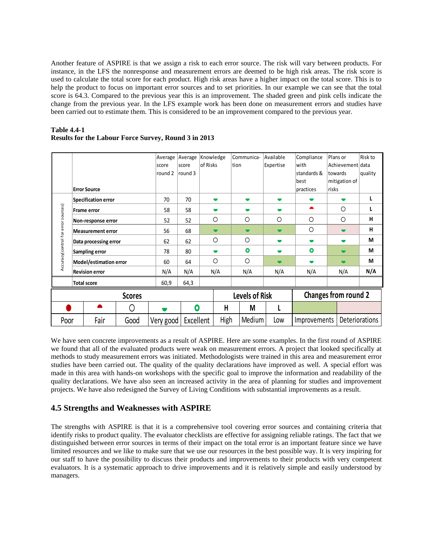Another feature of ASPIRE is that we assign a risk to each error source. The risk will vary between products. For instance, in the LFS the nonresponse and measurement errors are deemed to be high risk areas. The risk score is used to calculate the total score for each product. High risk areas have a higher impact on the total score. This is to help the product to focus on important error sources and to set priorities. In our example we can see that the total score is 64.3. Compared to the previous year this is an improvement. The shaded green and pink cells indicate the change from the previous year. In the LFS example work has been done on measurement errors and studies have been carried out to estimate them. This is considered to be an improvement compared to the previous year.

|                                     |                          |      |         | Average           | Average   | Knowledge      |                       | Communica-     | Available      | Compliance               | Plans or       | Risk to        |
|-------------------------------------|--------------------------|------|---------|-------------------|-----------|----------------|-----------------------|----------------|----------------|--------------------------|----------------|----------------|
|                                     |                          |      | score   | of Risks<br>score |           |                | ltion                 | Expertise      | with           | Achievement data         |                |                |
|                                     |                          |      | round 2 | round 3           |           |                |                       |                | standards &    | towards                  | quality        |                |
|                                     |                          |      |         |                   |           |                |                       |                |                | best                     | mitigation of  |                |
| <b>Error Source</b>                 |                          |      |         |                   |           |                |                       |                | practices      | <b>risks</b>             |                |                |
| Specification error                 |                          |      | 70      | 70                |           | $\blacksquare$ | $\blacksquare$        | $\blacksquare$ |                |                          |                |                |
|                                     | <b>Frame error</b>       |      |         | 58                | 58        |                | $\blacksquare$        |                | $\blacksquare$ | ▲                        | Ο              |                |
|                                     | Non-response error       |      |         | 52                | 52        |                | $\circ$               | $\circ$        | $\circ$        | $\circ$                  | $\circ$        | н              |
| Accuracy(control for error sources) | <b>Measurement error</b> |      |         | 56                | 68        |                | $\blacksquare$        | $\blacksquare$ | $\blacksquare$ | $\circ$                  | - 1            | н              |
|                                     | Data processing error    |      |         | 62                | 62        |                | $\circ$               | $\circ$        | $\blacksquare$ | $\blacksquare$           | $\blacksquare$ | М              |
|                                     | Sampling error           |      |         | 78                | 80        |                | $\blacksquare$        | $\bullet$      | $\blacksquare$ | $\bullet$                | $\blacksquare$ | М              |
|                                     | Model/estimation error   |      |         | 60                | 64        | O              |                       | $\circ$        | $\blacksquare$ | $\overline{\phantom{a}}$ | Ξ.             | М              |
| <b>Revision error</b>               |                          | N/A  | N/A     |                   | N/A       | N/A            | N/A                   | N/A            | N/A            | N/A                      |                |                |
| <b>Total score</b>                  |                          | 60,9 | 64,3    |                   |           |                |                       |                |                |                          |                |                |
| <b>Scores</b>                       |                          |      |         |                   |           |                | <b>Levels of Risk</b> |                |                | Changes from round 2     |                |                |
|                                     |                          |      | Ω       |                   | 0         |                | H                     | M              | L              |                          |                |                |
| Poor                                |                          | Fair | Good    | Very good         | Excellent |                | High                  | Medium         | Low            | Improvements             |                | Deteriorations |

#### **Table 4.4-1 Results for the Labour Force Survey, Round 3 in 2013**

We have seen concrete improvements as a result of ASPIRE. Here are some examples. In the first round of ASPIRE we found that all of the evaluated products were weak on measurement errors. A project that looked specifically at methods to study measurement errors was initiated. Methodologists were trained in this area and measurement error studies have been carried out. The quality of the quality declarations have improved as well. A special effort was made in this area with hands-on workshops with the specific goal to improve the information and readability of the quality declarations. We have also seen an increased activity in the area of planning for studies and improvement projects. We have also redesigned the Survey of Living Conditions with substantial improvements as a result.

# **4.5 Strengths and Weaknesses with ASPIRE**

The strengths with ASPIRE is that it is a comprehensive tool covering error sources and containing criteria that identify risks to product quality. The evaluator checklists are effective for assigning reliable ratings. The fact that we distinguished between error sources in terms of their impact on the total error is an important feature since we have limited resources and we like to make sure that we use our resources in the best possible way. It is very inspiring for our staff to have the possibility to discuss their products and improvements to their products with very competent evaluators. It is a systematic approach to drive improvements and it is relatively simple and easily understood by managers.